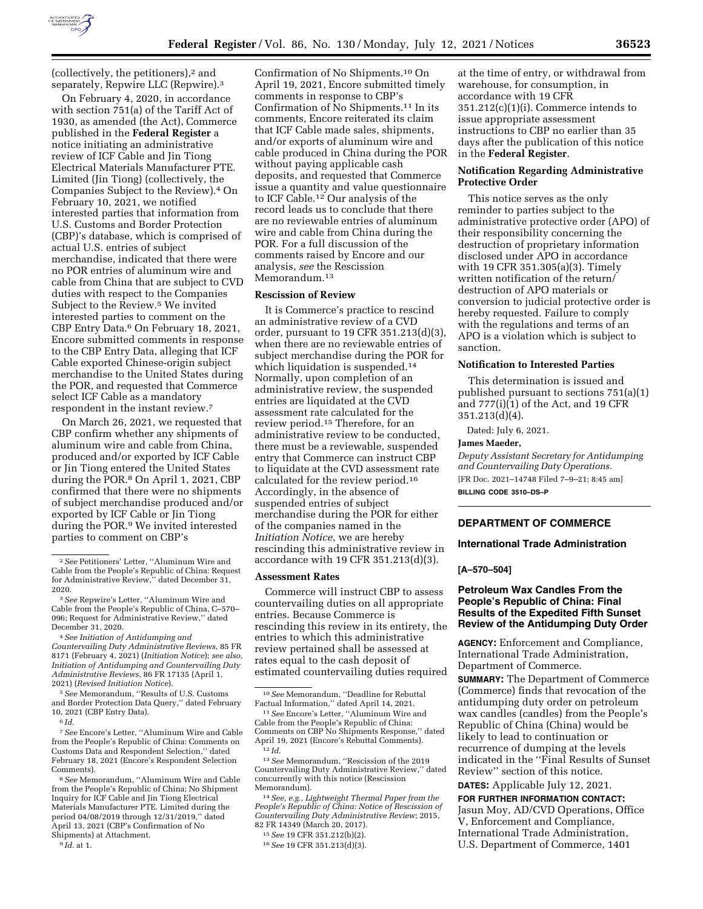

(collectively, the petitioners),2 and separately, Repwire LLC (Repwire).3

On February 4, 2020, in accordance with section 751(a) of the Tariff Act of 1930, as amended (the Act), Commerce published in the **Federal Register** a notice initiating an administrative review of ICF Cable and Jin Tiong Electrical Materials Manufacturer PTE. Limited (Jin Tiong) (collectively, the Companies Subject to the Review).4 On February 10, 2021, we notified interested parties that information from U.S. Customs and Border Protection (CBP)'s database, which is comprised of actual U.S. entries of subject merchandise, indicated that there were no POR entries of aluminum wire and cable from China that are subject to CVD duties with respect to the Companies Subject to the Review.<sup>5</sup> We invited interested parties to comment on the CBP Entry Data.6 On February 18, 2021, Encore submitted comments in response to the CBP Entry Data, alleging that ICF Cable exported Chinese-origin subject merchandise to the United States during the POR, and requested that Commerce select ICF Cable as a mandatory respondent in the instant review.7

On March 26, 2021, we requested that CBP confirm whether any shipments of aluminum wire and cable from China, produced and/or exported by ICF Cable or Jin Tiong entered the United States during the POR.<sup>8</sup> On April 1, 2021, CBP confirmed that there were no shipments of subject merchandise produced and/or exported by ICF Cable or Jin Tiong during the POR.9 We invited interested parties to comment on CBP's

4*See Initiation of Antidumping and Countervailing Duty Administrative Reviews*, 85 FR 8171 (February 4, 2021) (*Initiation Notice*); *see also, Initiation of Antidumping and Countervailing Duty Administrative Reviews*, 86 FR 17135 (April 1, 2021) (*Revised Initiation Notice*).

5*See* Memorandum, ''Results of U.S. Customs and Border Protection Data Query,'' dated February 10, 2021 (CBP Entry Data).

7*See* Encore's Letter, ''Aluminum Wire and Cable from the People's Republic of China: Comments on Customs Data and Respondent Selection,'' dated February 18, 2021 (Encore's Respondent Selection Comments).

8*See* Memorandum, ''Aluminum Wire and Cable from the People's Republic of China; No Shipment Inquiry for ICF Cable and Jin Tiong Electrical Materials Manufacturer PTE. Limited during the period 04/08/2019 through 12/31/2019,'' dated April 13, 2021 (CBP's Confirmation of No Shipments) at Attachment.

Confirmation of No Shipments.10 On April 19, 2021, Encore submitted timely comments in response to CBP's Confirmation of No Shipments.11 In its comments, Encore reiterated its claim that ICF Cable made sales, shipments, and/or exports of aluminum wire and cable produced in China during the POR without paying applicable cash deposits, and requested that Commerce issue a quantity and value questionnaire to ICF Cable.12 Our analysis of the record leads us to conclude that there are no reviewable entries of aluminum wire and cable from China during the POR. For a full discussion of the comments raised by Encore and our analysis, *see* the Rescission Memorandum.<sup>13</sup>

#### **Rescission of Review**

It is Commerce's practice to rescind an administrative review of a CVD order, pursuant to 19 CFR 351.213(d)(3), when there are no reviewable entries of subject merchandise during the POR for which liquidation is suspended.<sup>14</sup> Normally, upon completion of an administrative review, the suspended entries are liquidated at the CVD assessment rate calculated for the review period.15 Therefore, for an administrative review to be conducted, there must be a reviewable, suspended entry that Commerce can instruct CBP to liquidate at the CVD assessment rate calculated for the review period.16 Accordingly, in the absence of suspended entries of subject merchandise during the POR for either of the companies named in the *Initiation Notice*, we are hereby rescinding this administrative review in accordance with 19 CFR 351.213(d)(3).

#### **Assessment Rates**

Commerce will instruct CBP to assess countervailing duties on all appropriate entries. Because Commerce is rescinding this review in its entirety, the entries to which this administrative review pertained shall be assessed at rates equal to the cash deposit of estimated countervailing duties required

13*See* Memorandum, ''Rescission of the 2019 Countervailing Duty Administrative Review,'' dated concurrently with this notice (Rescission

 $^{14}$  See, e.g., Lightweight Thermal Paper from the *People's Republic of China: Notice of Rescission of Countervailing Duty Administrative Review*; 2015, 82 FR 14349 (March 20, 2017).

16*See* 19 CFR 351.213(d)(3).

at the time of entry, or withdrawal from warehouse, for consumption, in accordance with 19 CFR 351.212(c)(1)(i). Commerce intends to issue appropriate assessment instructions to CBP no earlier than 35 days after the publication of this notice in the **Federal Register**.

## **Notification Regarding Administrative Protective Order**

This notice serves as the only reminder to parties subject to the administrative protective order (APO) of their responsibility concerning the destruction of proprietary information disclosed under APO in accordance with 19 CFR 351.305(a)(3). Timely written notification of the return/ destruction of APO materials or conversion to judicial protective order is hereby requested. Failure to comply with the regulations and terms of an APO is a violation which is subject to sanction.

#### **Notification to Interested Parties**

This determination is issued and published pursuant to sections 751(a)(1) and 777(i)(1) of the Act, and 19 CFR 351.213(d)(4).

Dated: July 6, 2021.

### **James Maeder,**

*Deputy Assistant Secretary for Antidumping and Countervailing Duty Operations.*  [FR Doc. 2021–14748 Filed 7–9–21; 8:45 am]

**BILLING CODE 3510–DS–P** 

# **DEPARTMENT OF COMMERCE**

# **International Trade Administration**

# **[A–570–504]**

# **Petroleum Wax Candles From the People's Republic of China: Final Results of the Expedited Fifth Sunset Review of the Antidumping Duty Order**

**AGENCY:** Enforcement and Compliance, International Trade Administration, Department of Commerce.

**SUMMARY:** The Department of Commerce (Commerce) finds that revocation of the antidumping duty order on petroleum wax candles (candles) from the People's Republic of China (China) would be likely to lead to continuation or recurrence of dumping at the levels indicated in the ''Final Results of Sunset Review'' section of this notice.

**DATES:** Applicable July 12, 2021.

**FOR FURTHER INFORMATION CONTACT:**  Jasun Moy, AD/CVD Operations, Office V, Enforcement and Compliance, International Trade Administration, U.S. Department of Commerce, 1401

<sup>2</sup>*See* Petitioners' Letter, ''Aluminum Wire and Cable from the People's Republic of China: Request for Administrative Review,'' dated December 31, 2020.

<sup>3</sup>*See* Repwire's Letter, ''Aluminum Wire and Cable from the People's Republic of China, C–570– 096; Request for Administrative Review,'' dated December 31, 2020.

<sup>6</sup> *Id.* 

<sup>9</sup> *Id.* at 1.

<sup>10</sup>*See* Memorandum, ''Deadline for Rebuttal

<sup>&</sup>lt;sup>11</sup> See Encore's Letter, "Aluminum Wire and Cable from the People's Republic of China: Comments on CBP No Shipments Response,'' dated April 19, 2021 (Encore's Rebuttal Comments). 12 *Id.* 

<sup>15</sup>*See* 19 CFR 351.212(b)(2).